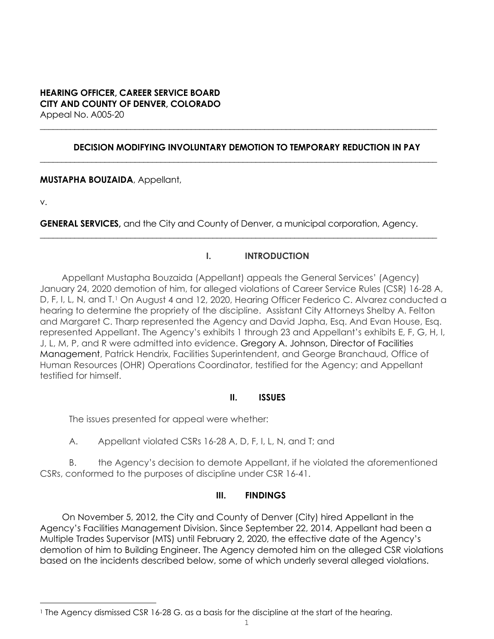### **HEARING OFFICER, CAREER SERVICE BOARD CITY AND COUNTY OF DENVER, COLORADO** Appeal No. A005-20

### **DECISION MODIFYING INVOLUNTARY DEMOTION TO TEMPORARY REDUCTION IN PAY**

**\_\_\_\_\_\_\_\_\_\_\_\_\_\_\_\_\_\_\_\_\_\_\_\_\_\_\_\_\_\_\_\_\_\_\_\_\_\_\_\_\_\_\_\_\_\_\_\_\_\_\_\_\_\_\_\_\_\_\_\_\_\_\_\_\_\_\_\_\_\_\_\_\_\_\_\_\_\_\_\_\_\_\_\_\_\_\_\_\_\_\_\_**

**\_\_\_\_\_\_\_\_\_\_\_\_\_\_\_\_\_\_\_\_\_\_\_\_\_\_\_\_\_\_\_\_\_\_\_\_\_\_\_\_\_\_\_\_\_\_\_\_\_\_\_\_\_\_\_\_\_\_\_\_\_\_\_\_\_\_\_\_\_\_\_\_\_\_\_\_\_\_\_\_\_\_\_\_\_\_\_\_\_\_\_\_**

**MUSTAPHA BOUZAIDA**, Appellant,

v.

**GENERAL SERVICES,** and the City and County of Denver, a municipal corporation, Agency.

**\_\_\_\_\_\_\_\_\_\_\_\_\_\_\_\_\_\_\_\_\_\_\_\_\_\_\_\_\_\_\_\_\_\_\_\_\_\_\_\_\_\_\_\_\_\_\_\_\_\_\_\_\_\_\_\_\_\_\_\_\_\_\_\_\_\_\_\_\_\_\_\_\_\_\_\_\_\_\_\_\_\_\_\_\_\_\_\_\_\_\_\_**

## **I. INTRODUCTION**

Appellant Mustapha Bouzaida (Appellant) appeals the General Services' (Agency) January 24, 2020 demotion of him, for alleged violations of Career Service Rules (CSR) 16-28 A, D, F, I, L, N, and T.<sup>[1](#page-0-0)</sup> On August 4 and 12, 2020, Hearing Officer Federico C. Alvarez conducted a hearing to determine the propriety of the discipline. Assistant City Attorneys Shelby A. Felton and Margaret C. Tharp represented the Agency and David Japha, Esq. And Evan House, Esq. represented Appellant. The Agency's exhibits 1 through 23 and Appellant's exhibits E, F, G, H, I, J, L, M, P, and R were admitted into evidence. Gregory A. Johnson, Director of Facilities Management, Patrick Hendrix, Facilities Superintendent, and George Branchaud, Office of Human Resources (OHR) Operations Coordinator, testified for the Agency; and Appellant testified for himself.

## **II. ISSUES**

The issues presented for appeal were whether:

A. Appellant violated CSRs 16-28 A, D, F, I, L, N, and T; and

B. the Agency's decision to demote Appellant, if he violated the aforementioned CSRs, conformed to the purposes of discipline under CSR 16-41.

## **III. FINDINGS**

On November 5, 2012, the City and County of Denver (City) hired Appellant in the Agency's Facilities Management Division. Since September 22, 2014, Appellant had been a Multiple Trades Supervisor (MTS) until February 2, 2020, the effective date of the Agency's demotion of him to Building Engineer. The Agency demoted him on the alleged CSR violations based on the incidents described below, some of which underly several alleged violations.

<span id="page-0-0"></span><sup>&</sup>lt;sup>1</sup> The Agency dismissed CSR 16-28 G. as a basis for the discipline at the start of the hearing.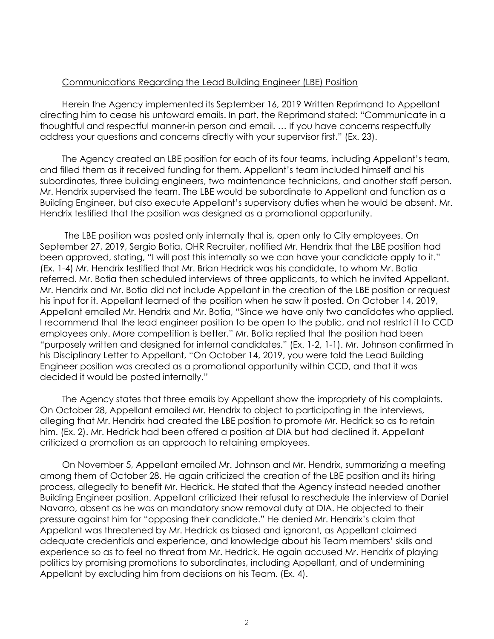#### Communications Regarding the Lead Building Engineer (LBE) Position

Herein the Agency implemented its September 16, 2019 Written Reprimand to Appellant directing him to cease his untoward emails. In part, the Reprimand stated: "Communicate in a thoughtful and respectful manner-in person and email. … If you have concerns respectfully address your questions and concerns directly with your supervisor first." (Ex. 23).

The Agency created an LBE position for each of its four teams, including Appellant's team, and filled them as it received funding for them. Appellant's team included himself and his subordinates, three building engineers, two maintenance technicians, and another staff person. Mr. Hendrix supervised the team. The LBE would be subordinate to Appellant and function as a Building Engineer, but also execute Appellant's supervisory duties when he would be absent. Mr. Hendrix testified that the position was designed as a promotional opportunity.

The LBE position was posted only internally that is, open only to City employees. On September 27, 2019, Sergio Botia, OHR Recruiter, notified Mr. Hendrix that the LBE position had been approved, stating, "I will post this internally so we can have your candidate apply to it." (Ex. 1-4) Mr. Hendrix testified that Mr. Brian Hedrick was his candidate, to whom Mr. Botia referred. Mr. Botia then scheduled interviews of three applicants, to which he invited Appellant. Mr. Hendrix and Mr. Botia did not include Appellant in the creation of the LBE position or request his input for it. Appellant learned of the position when he saw it posted. On October 14, 2019, Appellant emailed Mr. Hendrix and Mr. Botia, "Since we have only two candidates who applied, I recommend that the lead engineer position to be open to the public, and not restrict it to CCD employees only. More competition is better." Mr. Botia replied that the position had been "purposely written and designed for internal candidates." (Ex. 1-2, 1-1). Mr. Johnson confirmed in his Disciplinary Letter to Appellant, "On October 14, 2019, you were told the Lead Building Engineer position was created as a promotional opportunity within CCD, and that it was decided it would be posted internally."

The Agency states that three emails by Appellant show the impropriety of his complaints. On October 28, Appellant emailed Mr. Hendrix to object to participating in the interviews, alleging that Mr. Hendrix had created the LBE position to promote Mr. Hedrick so as to retain him. (Ex. 2). Mr. Hedrick had been offered a position at DIA but had declined it. Appellant criticized a promotion as an approach to retaining employees.

On November 5, Appellant emailed Mr. Johnson and Mr. Hendrix, summarizing a meeting among them of October 28. He again criticized the creation of the LBE position and its hiring process, allegedly to benefit Mr. Hedrick. He stated that the Agency instead needed another Building Engineer position. Appellant criticized their refusal to reschedule the interview of Daniel Navarro, absent as he was on mandatory snow removal duty at DIA. He objected to their pressure against him for "opposing their candidate." He denied Mr. Hendrix's claim that Appellant was threatened by Mr. Hedrick as biased and ignorant, as Appellant claimed adequate credentials and experience, and knowledge about his Team members' skills and experience so as to feel no threat from Mr. Hedrick. He again accused Mr. Hendrix of playing politics by promising promotions to subordinates, including Appellant, and of undermining Appellant by excluding him from decisions on his Team. (Ex. 4).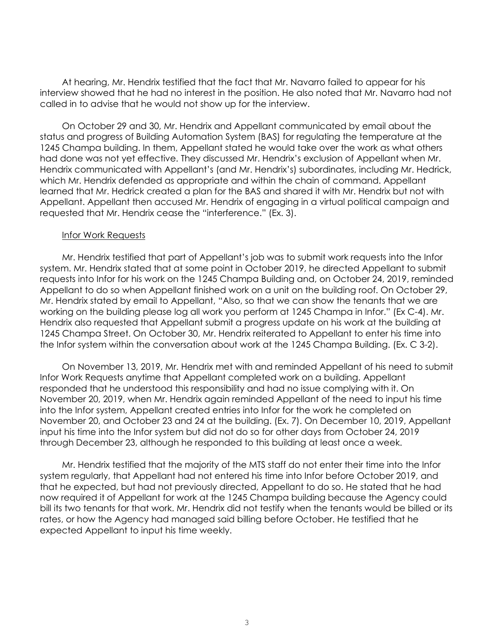At hearing, Mr. Hendrix testified that the fact that Mr. Navarro failed to appear for his interview showed that he had no interest in the position. He also noted that Mr. Navarro had not called in to advise that he would not show up for the interview.

On October 29 and 30, Mr. Hendrix and Appellant communicated by email about the status and progress of Building Automation System (BAS) for regulating the temperature at the 1245 Champa building. In them, Appellant stated he would take over the work as what others had done was not yet effective. They discussed Mr. Hendrix's exclusion of Appellant when Mr. Hendrix communicated with Appellant's (and Mr. Hendrix's) subordinates, including Mr. Hedrick, which Mr. Hendrix defended as appropriate and within the chain of command. Appellant learned that Mr. Hedrick created a plan for the BAS and shared it with Mr. Hendrix but not with Appellant. Appellant then accused Mr. Hendrix of engaging in a virtual political campaign and requested that Mr. Hendrix cease the "interference." (Ex. 3).

#### Infor Work Requests

Mr. Hendrix testified that part of Appellant's job was to submit work requests into the Infor system. Mr. Hendrix stated that at some point in October 2019, he directed Appellant to submit requests into Infor for his work on the 1245 Champa Building and, on October 24, 2019, reminded Appellant to do so when Appellant finished work on a unit on the building roof. On October 29, Mr. Hendrix stated by email to Appellant, "Also, so that we can show the tenants that we are working on the building please log all work you perform at 1245 Champa in Infor." (Ex C-4). Mr. Hendrix also requested that Appellant submit a progress update on his work at the building at 1245 Champa Street. On October 30, Mr. Hendrix reiterated to Appellant to enter his time into the Infor system within the conversation about work at the 1245 Champa Building. (Ex. C 3-2).

On November 13, 2019, Mr. Hendrix met with and reminded Appellant of his need to submit Infor Work Requests anytime that Appellant completed work on a building. Appellant responded that he understood this responsibility and had no issue complying with it. On November 20, 2019, when Mr. Hendrix again reminded Appellant of the need to input his time into the Infor system, Appellant created entries into Infor for the work he completed on November 20, and October 23 and 24 at the building. (Ex. 7). On December 10, 2019, Appellant input his time into the Infor system but did not do so for other days from October 24, 2019 through December 23, although he responded to this building at least once a week.

Mr. Hendrix testified that the majority of the MTS staff do not enter their time into the Infor system regularly, that Appellant had not entered his time into Infor before October 2019, and that he expected, but had not previously directed, Appellant to do so. He stated that he had now required it of Appellant for work at the 1245 Champa building because the Agency could bill its two tenants for that work. Mr. Hendrix did not testify when the tenants would be billed or its rates, or how the Agency had managed said billing before October. He testified that he expected Appellant to input his time weekly.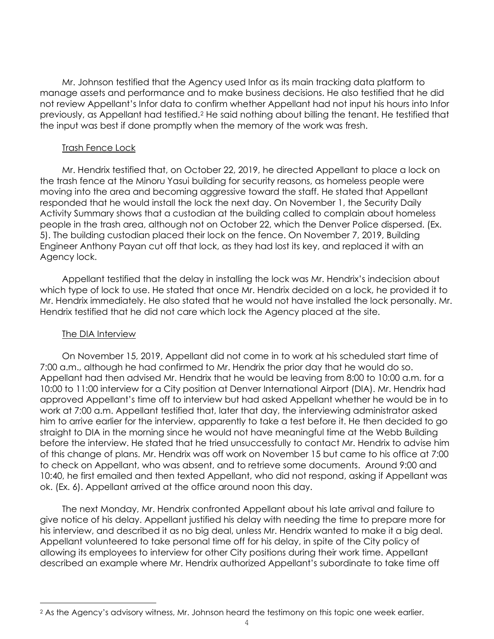Mr. Johnson testified that the Agency used Infor as its main tracking data platform to manage assets and performance and to make business decisions. He also testified that he did not review Appellant's Infor data to confirm whether Appellant had not input his hours into Infor previously, as Appellant had testified.[2](#page-3-0) He said nothing about billing the tenant. He testified that the input was best if done promptly when the memory of the work was fresh.

#### Trash Fence Lock

Mr. Hendrix testified that, on October 22, 2019, he directed Appellant to place a lock on the trash fence at the Minoru Yasui building for security reasons, as homeless people were moving into the area and becoming aggressive toward the staff. He stated that Appellant responded that he would install the lock the next day. On November 1, the Security Daily Activity Summary shows that a custodian at the building called to complain about homeless people in the trash area, although not on October 22, which the Denver Police dispersed. (Ex. 5). The building custodian placed their lock on the fence. On November 7, 2019, Building Engineer Anthony Payan cut off that lock, as they had lost its key, and replaced it with an Agency lock.

Appellant testified that the delay in installing the lock was Mr. Hendrix's indecision about which type of lock to use. He stated that once Mr. Hendrix decided on a lock, he provided it to Mr. Hendrix immediately. He also stated that he would not have installed the lock personally. Mr. Hendrix testified that he did not care which lock the Agency placed at the site.

### The DIA Interview

On November 15, 2019, Appellant did not come in to work at his scheduled start time of 7:00 a.m., although he had confirmed to Mr. Hendrix the prior day that he would do so. Appellant had then advised Mr. Hendrix that he would be leaving from 8:00 to 10:00 a.m. for a 10:00 to 11:00 interview for a City position at Denver International Airport (DIA). Mr. Hendrix had approved Appellant's time off to interview but had asked Appellant whether he would be in to work at 7:00 a.m. Appellant testified that, later that day, the interviewing administrator asked him to arrive earlier for the interview, apparently to take a test before it. He then decided to go straight to DIA in the morning since he would not have meaningful time at the Webb Building before the interview. He stated that he tried unsuccessfully to contact Mr. Hendrix to advise him of this change of plans. Mr. Hendrix was off work on November 15 but came to his office at 7:00 to check on Appellant, who was absent, and to retrieve some documents. Around 9:00 and 10:40, he first emailed and then texted Appellant, who did not respond, asking if Appellant was ok. (Ex. 6). Appellant arrived at the office around noon this day.

The next Monday, Mr. Hendrix confronted Appellant about his late arrival and failure to give notice of his delay. Appellant justified his delay with needing the time to prepare more for his interview, and described it as no big deal, unless Mr. Hendrix wanted to make it a big deal. Appellant volunteered to take personal time off for his delay, in spite of the City policy of allowing its employees to interview for other City positions during their work time. Appellant described an example where Mr. Hendrix authorized Appellant's subordinate to take time off

<span id="page-3-0"></span><sup>2</sup> As the Agency's advisory witness, Mr. Johnson heard the testimony on this topic one week earlier.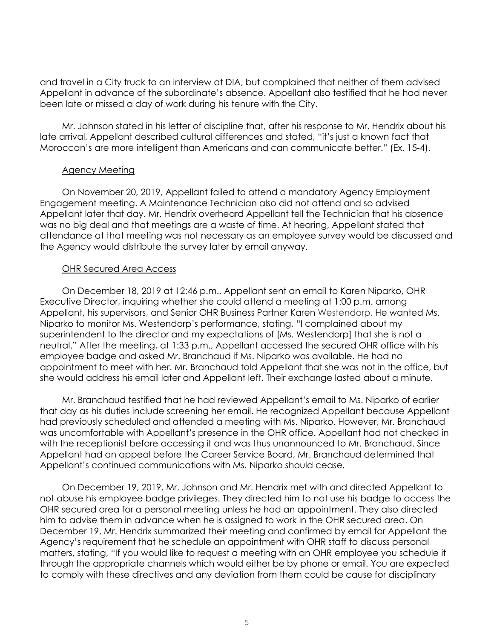and travel in a City truck to an interview at DIA, but complained that neither of them advised Appellant in advance of the subordinate's absence. Appellant also testified that he had never been late or missed a day of work during his tenure with the City.

Mr. Johnson stated in his letter of discipline that, after his response to Mr. Hendrix about his late arrival, Appellant described cultural differences and stated, "it's just a known fact that Moroccan's are more intelligent than Americans and can communicate better." (Ex. 15-4).

#### Agency Meeting

On November 20, 2019, Appellant failed to attend a mandatory Agency Employment Engagement meeting. A Maintenance Technician also did not attend and so advised Appellant later that day. Mr. Hendrix overheard Appellant tell the Technician that his absence was no big deal and that meetings are a waste of time. At hearing, Appellant stated that attendance at that meeting was not necessary as an employee survey would be discussed and the Agency would distribute the survey later by email anyway.

### OHR Secured Area Access

On December 18, 2019 at 12:46 p.m., Appellant sent an email to Karen Niparko, OHR Executive Director, inquiring whether she could attend a meeting at 1:00 p.m. among Appellant, his supervisors, and Senior OHR Business Partner Karen Westendorp. He wanted Ms. Niparko to monitor Ms. Westendorp's performance, stating, "I complained about my superintendent to the director and my expectations of [Ms. Westendorp] that she is not a neutral." After the meeting, at 1:33 p.m., Appellant accessed the secured OHR office with his employee badge and asked Mr. Branchaud if Ms. Niparko was available. He had no appointment to meet with her. Mr. Branchaud told Appellant that she was not in the office, but she would address his email later and Appellant left. Their exchange lasted about a minute.

Mr. Branchaud testified that he had reviewed Appellant's email to Ms. Niparko of earlier that day as his duties include screening her email. He recognized Appellant because Appellant had previously scheduled and attended a meeting with Ms. Niparko. However, Mr. Branchaud was uncomfortable with Appellant's presence in the OHR office. Appellant had not checked in with the receptionist before accessing it and was thus unannounced to Mr. Branchaud. Since Appellant had an appeal before the Career Service Board, Mr. Branchaud determined that Appellant's continued communications with Ms. Niparko should cease.

On December 19, 2019, Mr. Johnson and Mr. Hendrix met with and directed Appellant to not abuse his employee badge privileges. They directed him to not use his badge to access the OHR secured area for a personal meeting unless he had an appointment. They also directed him to advise them in advance when he is assigned to work in the OHR secured area. On December 19, Mr. Hendrix summarized their meeting and confirmed by email for Appellant the Agency's requirement that he schedule an appointment with OHR staff to discuss personal matters, stating, "If you would like to request a meeting with an OHR employee you schedule it through the appropriate channels which would either be by phone or email. You are expected to comply with these directives and any deviation from them could be cause for disciplinary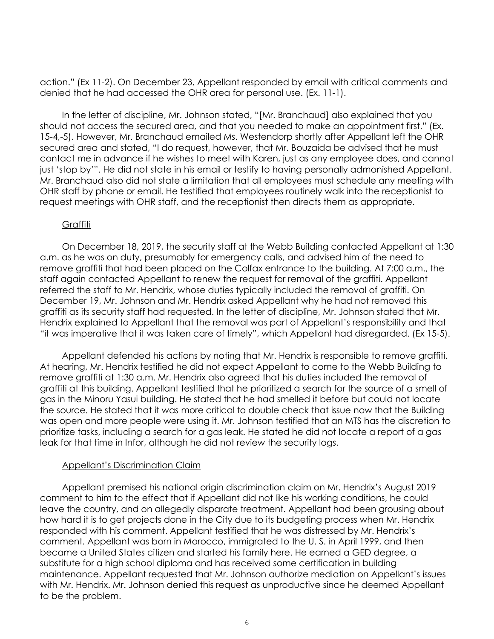action." (Ex 11-2). On December 23, Appellant responded by email with critical comments and denied that he had accessed the OHR area for personal use. (Ex. 11-1).

In the letter of discipline, Mr. Johnson stated, "[Mr. Branchaud] also explained that you should not access the secured area, and that you needed to make an appointment first." (Ex. 15-4,-5). However, Mr. Branchaud emailed Ms. Westendorp shortly after Appellant left the OHR secured area and stated, "I do request, however, that Mr. Bouzaida be advised that he must contact me in advance if he wishes to meet with Karen, just as any employee does, and cannot just 'stop by'". He did not state in his email or testify to having personally admonished Appellant. Mr. Branchaud also did not state a limitation that all employees must schedule any meeting with OHR staff by phone or email. He testified that employees routinely walk into the receptionist to request meetings with OHR staff, and the receptionist then directs them as appropriate.

### Graffiti

On December 18, 2019, the security staff at the Webb Building contacted Appellant at 1:30 a.m. as he was on duty, presumably for emergency calls, and advised him of the need to remove graffiti that had been placed on the Colfax entrance to the building. At 7:00 a.m., the staff again contacted Appellant to renew the request for removal of the graffiti. Appellant referred the staff to Mr. Hendrix, whose duties typically included the removal of graffiti. On December 19, Mr. Johnson and Mr. Hendrix asked Appellant why he had not removed this graffiti as its security staff had requested. In the letter of discipline, Mr. Johnson stated that Mr. Hendrix explained to Appellant that the removal was part of Appellant's responsibility and that "it was imperative that it was taken care of timely", which Appellant had disregarded. (Ex 15-5).

Appellant defended his actions by noting that Mr. Hendrix is responsible to remove graffiti. At hearing, Mr. Hendrix testified he did not expect Appellant to come to the Webb Building to remove graffiti at 1:30 a.m. Mr. Hendrix also agreed that his duties included the removal of graffiti at this building. Appellant testified that he prioritized a search for the source of a smell of gas in the Minoru Yasui building. He stated that he had smelled it before but could not locate the source. He stated that it was more critical to double check that issue now that the Building was open and more people were using it. Mr. Johnson testified that an MTS has the discretion to prioritize tasks, including a search for a gas leak. He stated he did not locate a report of a gas leak for that time in Infor, although he did not review the security logs.

## Appellant's Discrimination Claim

Appellant premised his national origin discrimination claim on Mr. Hendrix's August 2019 comment to him to the effect that if Appellant did not like his working conditions, he could leave the country, and on allegedly disparate treatment. Appellant had been grousing about how hard it is to get projects done in the City due to its budgeting process when Mr. Hendrix responded with his comment. Appellant testified that he was distressed by Mr. Hendrix's comment. Appellant was born in Morocco, immigrated to the U. S. in April 1999, and then became a United States citizen and started his family here. He earned a GED degree, a substitute for a high school diploma and has received some certification in building maintenance. Appellant requested that Mr. Johnson authorize mediation on Appellant's issues with Mr. Hendrix. Mr. Johnson denied this request as unproductive since he deemed Appellant to be the problem.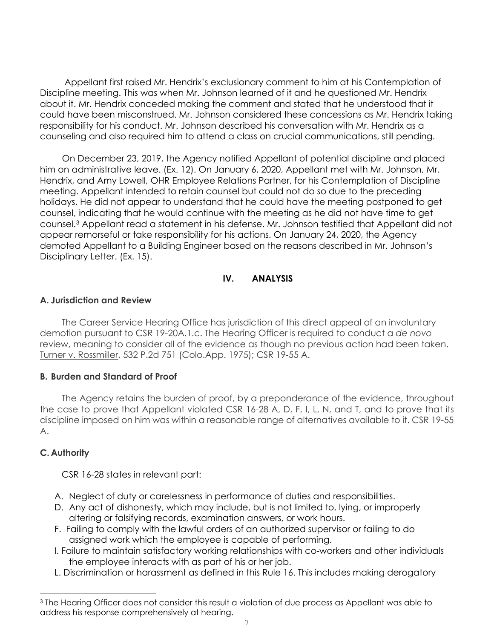Appellant first raised Mr. Hendrix's exclusionary comment to him at his Contemplation of Discipline meeting. This was when Mr. Johnson learned of it and he questioned Mr. Hendrix about it. Mr. Hendrix conceded making the comment and stated that he understood that it could have been misconstrued. Mr. Johnson considered these concessions as Mr. Hendrix taking responsibility for his conduct. Mr. Johnson described his conversation with Mr. Hendrix as a counseling and also required him to attend a class on crucial communications, still pending.

On December 23, 2019, the Agency notified Appellant of potential discipline and placed him on administrative leave. (Ex. 12). On January 6, 2020, Appellant met with Mr. Johnson, Mr. Hendrix, and Amy Lowell, OHR Employee Relations Partner, for his Contemplation of Discipline meeting. Appellant intended to retain counsel but could not do so due to the preceding holidays. He did not appear to understand that he could have the meeting postponed to get counsel, indicating that he would continue with the meeting as he did not have time to get counsel[.3](#page-6-0) Appellant read a statement in his defense. Mr. Johnson testified that Appellant did not appear remorseful or take responsibility for his actions. On January 24, 2020, the Agency demoted Appellant to a Building Engineer based on the reasons described in Mr. Johnson's Disciplinary Letter. (Ex. 15).

## **IV. ANALYSIS**

### **A. Jurisdiction and Review**

The Career Service Hearing Office has jurisdiction of this direct appeal of an involuntary demotion pursuant to CSR 19-20A.1.c. The Hearing Officer is required to conduct a *de novo* review, meaning to consider all of the evidence as though no previous action had been taken. Turner v. Rossmiller, 532 P.2d 751 (Colo.App. 1975); CSR 19-55 A.

## **B. Burden and Standard of Proof**

The Agency retains the burden of proof, by a preponderance of the evidence, throughout the case to prove that Appellant violated CSR 16-28 A, D, F, I, L, N, and T, and to prove that its discipline imposed on him was within a reasonable range of alternatives available to it. CSR 19-55 A.

## **C. Authority**

CSR 16-28 states in relevant part:

- A. Neglect of duty or carelessness in performance of duties and responsibilities.
- D. Any act of dishonesty, which may include, but is not limited to, lying, or improperly altering or falsifying records, examination answers, or work hours.
- F. Failing to comply with the lawful orders of an authorized supervisor or failing to do assigned work which the employee is capable of performing.
- I. Failure to maintain satisfactory working relationships with co-workers and other individuals the employee interacts with as part of his or her job.
- L. Discrimination or harassment as defined in this Rule 16. This includes making derogatory

<span id="page-6-0"></span><sup>&</sup>lt;sup>3</sup> The Hearing Officer does not consider this result a violation of due process as Appellant was able to address his response comprehensively at hearing.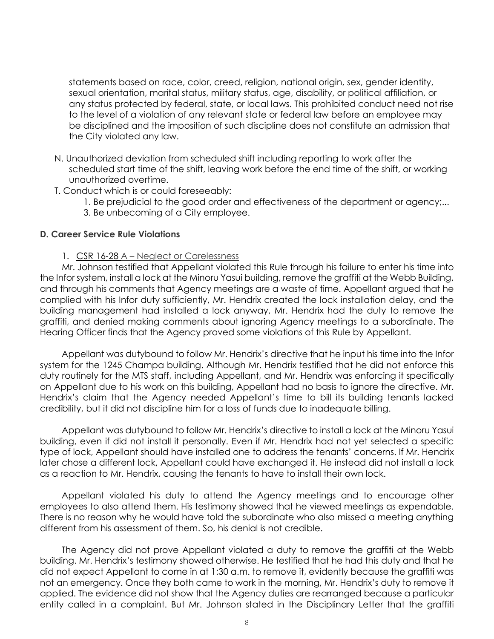statements based on race, color, creed, religion, national origin, sex, gender identity, sexual orientation, marital status, military status, age, disability, or political affiliation, or any status protected by federal, state, or local laws. This prohibited conduct need not rise to the level of a violation of any relevant state or federal law before an employee may be disciplined and the imposition of such discipline does not constitute an admission that the City violated any law.

- N. Unauthorized deviation from scheduled shift including reporting to work after the scheduled start time of the shift, leaving work before the end time of the shift, or working unauthorized overtime.
- T. Conduct which is or could foreseeably:
	- 1. Be prejudicial to the good order and effectiveness of the department or agency;...
	- 3. Be unbecoming of a City employee.

#### **D. Career Service Rule Violations**

1. CSR 16-28 A – Neglect or Carelessness

Mr. Johnson testified that Appellant violated this Rule through his failure to enter his time into the Infor system, install a lock at the Minoru Yasui building, remove the graffiti at the Webb Building, and through his comments that Agency meetings are a waste of time. Appellant argued that he complied with his Infor duty sufficiently, Mr. Hendrix created the lock installation delay, and the building management had installed a lock anyway, Mr. Hendrix had the duty to remove the graffiti, and denied making comments about ignoring Agency meetings to a subordinate. The Hearing Officer finds that the Agency proved some violations of this Rule by Appellant.

Appellant was dutybound to follow Mr. Hendrix's directive that he input his time into the Infor system for the 1245 Champa building. Although Mr. Hendrix testified that he did not enforce this duty routinely for the MTS staff, including Appellant, and Mr. Hendrix was enforcing it specifically on Appellant due to his work on this building, Appellant had no basis to ignore the directive. Mr. Hendrix's claim that the Agency needed Appellant's time to bill its building tenants lacked credibility, but it did not discipline him for a loss of funds due to inadequate billing.

Appellant was dutybound to follow Mr. Hendrix's directive to install a lock at the Minoru Yasui building, even if did not install it personally. Even if Mr. Hendrix had not yet selected a specific type of lock, Appellant should have installed one to address the tenants' concerns. If Mr. Hendrix later chose a different lock, Appellant could have exchanged it. He instead did not install a lock as a reaction to Mr. Hendrix, causing the tenants to have to install their own lock.

Appellant violated his duty to attend the Agency meetings and to encourage other employees to also attend them. His testimony showed that he viewed meetings as expendable. There is no reason why he would have told the subordinate who also missed a meeting anything different from his assessment of them. So, his denial is not credible.

The Agency did not prove Appellant violated a duty to remove the graffiti at the Webb building. Mr. Hendrix's testimony showed otherwise. He testified that he had this duty and that he did not expect Appellant to come in at 1:30 a.m. to remove it, evidently because the graffiti was not an emergency. Once they both came to work in the morning, Mr. Hendrix's duty to remove it applied. The evidence did not show that the Agency duties are rearranged because a particular entity called in a complaint. But Mr. Johnson stated in the Disciplinary Letter that the graffiti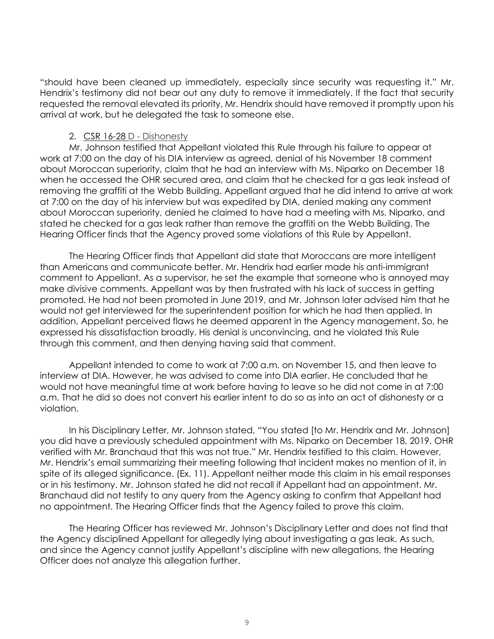"should have been cleaned up immediately, especially since security was requesting it." Mr. Hendrix's testimony did not bear out any duty to remove it immediately. If the fact that security requested the removal elevated its priority, Mr. Hendrix should have removed it promptly upon his arrival at work, but he delegated the task to someone else.

#### 2. CSR 16-28 D - Dishonesty

Mr. Johnson testified that Appellant violated this Rule through his failure to appear at work at 7:00 on the day of his DIA interview as agreed, denial of his November 18 comment about Moroccan superiority, claim that he had an interview with Ms. Niparko on December 18 when he accessed the OHR secured area, and claim that he checked for a gas leak instead of removing the graffiti at the Webb Building. Appellant argued that he did intend to arrive at work at 7:00 on the day of his interview but was expedited by DIA, denied making any comment about Moroccan superiority, denied he claimed to have had a meeting with Ms. Niparko, and stated he checked for a gas leak rather than remove the graffiti on the Webb Building. The Hearing Officer finds that the Agency proved some violations of this Rule by Appellant.

The Hearing Officer finds that Appellant did state that Moroccans are more intelligent than Americans and communicate better. Mr. Hendrix had earlier made his anti-immigrant comment to Appellant. As a supervisor, he set the example that someone who is annoyed may make divisive comments. Appellant was by then frustrated with his lack of success in getting promoted. He had not been promoted in June 2019, and Mr. Johnson later advised him that he would not get interviewed for the superintendent position for which he had then applied. In addition, Appellant perceived flaws he deemed apparent in the Agency management. So, he expressed his dissatisfaction broadly. His denial is unconvincing, and he violated this Rule through this comment, and then denying having said that comment.

Appellant intended to come to work at 7:00 a.m. on November 15, and then leave to interview at DIA. However, he was advised to come into DIA earlier. He concluded that he would not have meaningful time at work before having to leave so he did not come in at 7:00 a.m. That he did so does not convert his earlier intent to do so as into an act of dishonesty or a violation.

In his Disciplinary Letter, Mr. Johnson stated, "You stated [to Mr. Hendrix and Mr. Johnson] you did have a previously scheduled appointment with Ms. Niparko on December 18, 2019. OHR verified with Mr. Branchaud that this was not true." Mr. Hendrix testified to this claim. However, Mr. Hendrix's email summarizing their meeting following that incident makes no mention of it, in spite of its alleged significance. (Ex. 11). Appellant neither made this claim in his email responses or in his testimony. Mr. Johnson stated he did not recall if Appellant had an appointment. Mr. Branchaud did not testify to any query from the Agency asking to confirm that Appellant had no appointment. The Hearing Officer finds that the Agency failed to prove this claim.

The Hearing Officer has reviewed Mr. Johnson's Disciplinary Letter and does not find that the Agency disciplined Appellant for allegedly lying about investigating a gas leak. As such, and since the Agency cannot justify Appellant's discipline with new allegations, the Hearing Officer does not analyze this allegation further.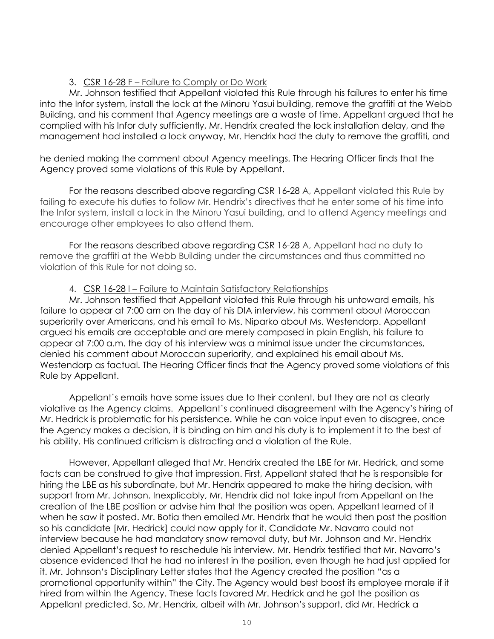### 3. CSR 16-28 F – Failure to Comply or Do Work

Mr. Johnson testified that Appellant violated this Rule through his failures to enter his time into the Infor system, install the lock at the Minoru Yasui building, remove the graffiti at the Webb Building, and his comment that Agency meetings are a waste of time. Appellant argued that he complied with his Infor duty sufficiently, Mr. Hendrix created the lock installation delay, and the management had installed a lock anyway, Mr. Hendrix had the duty to remove the graffiti, and

he denied making the comment about Agency meetings. The Hearing Officer finds that the Agency proved some violations of this Rule by Appellant.

For the reasons described above regarding CSR 16-28 A, Appellant violated this Rule by failing to execute his duties to follow Mr. Hendrix's directives that he enter some of his time into the Infor system, install a lock in the Minoru Yasui building, and to attend Agency meetings and encourage other employees to also attend them.

For the reasons described above regarding CSR 16-28 A, Appellant had no duty to remove the graffiti at the Webb Building under the circumstances and thus committed no violation of this Rule for not doing so.

### 4. CSR 16-28 I – Failure to Maintain Satisfactory Relationships

Mr. Johnson testified that Appellant violated this Rule through his untoward emails, his failure to appear at 7:00 am on the day of his DIA interview, his comment about Moroccan superiority over Americans, and his email to Ms. Niparko about Ms. Westendorp. Appellant argued his emails are acceptable and are merely composed in plain English, his failure to appear at 7:00 a.m. the day of his interview was a minimal issue under the circumstances, denied his comment about Moroccan superiority, and explained his email about Ms. Westendorp as factual. The Hearing Officer finds that the Agency proved some violations of this Rule by Appellant.

Appellant's emails have some issues due to their content, but they are not as clearly violative as the Agency claims. Appellant's continued disagreement with the Agency's hiring of Mr. Hedrick is problematic for his persistence. While he can voice input even to disagree, once the Agency makes a decision, it is binding on him and his duty is to implement it to the best of his ability. His continued criticism is distracting and a violation of the Rule.

However, Appellant alleged that Mr. Hendrix created the LBE for Mr. Hedrick, and some facts can be construed to give that impression. First, Appellant stated that he is responsible for hiring the LBE as his subordinate, but Mr. Hendrix appeared to make the hiring decision, with support from Mr. Johnson. Inexplicably, Mr. Hendrix did not take input from Appellant on the creation of the LBE position or advise him that the position was open. Appellant learned of it when he saw it posted. Mr. Botia then emailed Mr. Hendrix that he would then post the position so his candidate [Mr. Hedrick] could now apply for it. Candidate Mr. Navarro could not interview because he had mandatory snow removal duty, but Mr. Johnson and Mr. Hendrix denied Appellant's request to reschedule his interview. Mr. Hendrix testified that Mr. Navarro's absence evidenced that he had no interest in the position, even though he had just applied for it. Mr. Johnson's Disciplinary Letter states that the Agency created the position "as a promotional opportunity within" the City. The Agency would best boost its employee morale if it hired from within the Agency. These facts favored Mr. Hedrick and he got the position as Appellant predicted. So, Mr. Hendrix, albeit with Mr. Johnson's support, did Mr. Hedrick a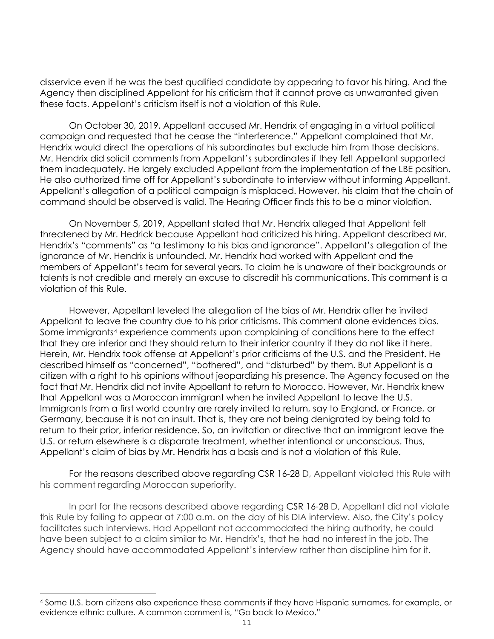disservice even if he was the best qualified candidate by appearing to favor his hiring. And the Agency then disciplined Appellant for his criticism that it cannot prove as unwarranted given these facts. Appellant's criticism itself is not a violation of this Rule.

On October 30, 2019, Appellant accused Mr. Hendrix of engaging in a virtual political campaign and requested that he cease the "interference." Appellant complained that Mr. Hendrix would direct the operations of his subordinates but exclude him from those decisions. Mr. Hendrix did solicit comments from Appellant's subordinates if they felt Appellant supported them inadequately. He largely excluded Appellant from the implementation of the LBE position. He also authorized time off for Appellant's subordinate to interview without informing Appellant. Appellant's allegation of a political campaign is misplaced. However, his claim that the chain of command should be observed is valid. The Hearing Officer finds this to be a minor violation.

On November 5, 2019, Appellant stated that Mr. Hendrix alleged that Appellant felt threatened by Mr. Hedrick because Appellant had criticized his hiring. Appellant described Mr. Hendrix's "comments" as "a testimony to his bias and ignorance". Appellant's allegation of the ignorance of Mr. Hendrix is unfounded. Mr. Hendrix had worked with Appellant and the members of Appellant's team for several years. To claim he is unaware of their backgrounds or talents is not credible and merely an excuse to discredit his communications. This comment is a violation of this Rule.

However, Appellant leveled the allegation of the bias of Mr. Hendrix after he invited Appellant to leave the country due to his prior criticisms. This comment alone evidences bias. Some immigrants<sup>[4](#page-10-0)</sup> experience comments upon complaining of conditions here to the effect that they are inferior and they should return to their inferior country if they do not like it here. Herein, Mr. Hendrix took offense at Appellant's prior criticisms of the U.S. and the President. He described himself as "concerned", "bothered", and "disturbed" by them. But Appellant is a citizen with a right to his opinions without jeopardizing his presence. The Agency focused on the fact that Mr. Hendrix did not invite Appellant to return to Morocco. However, Mr. Hendrix knew that Appellant was a Moroccan immigrant when he invited Appellant to leave the U.S. Immigrants from a first world country are rarely invited to return, say to England, or France, or Germany, because it is not an insult. That is, they are not being denigrated by being told to return to their prior, inferior residence. So, an invitation or directive that an immigrant leave the U.S. or return elsewhere is a disparate treatment, whether intentional or unconscious. Thus, Appellant's claim of bias by Mr. Hendrix has a basis and is not a violation of this Rule.

For the reasons described above regarding CSR 16-28 D, Appellant violated this Rule with his comment regarding Moroccan superiority.

In part for the reasons described above regarding CSR 16-28 D, Appellant did not violate this Rule by failing to appear at 7:00 a.m. on the day of his DIA interview. Also, the City's policy facilitates such interviews. Had Appellant not accommodated the hiring authority, he could have been subject to a claim similar to Mr. Hendrix's, that he had no interest in the job. The Agency should have accommodated Appellant's interview rather than discipline him for it.

<span id="page-10-0"></span><sup>4</sup> Some U.S. born citizens also experience these comments if they have Hispanic surnames, for example, or evidence ethnic culture. A common comment is, "Go back to Mexico."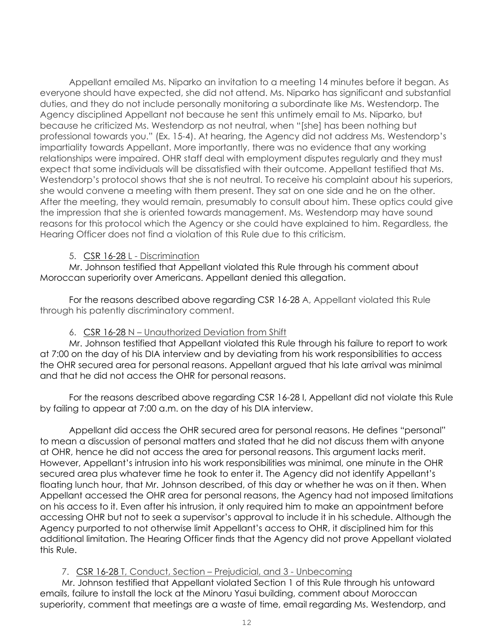Appellant emailed Ms. Niparko an invitation to a meeting 14 minutes before it began. As everyone should have expected, she did not attend. Ms. Niparko has significant and substantial duties, and they do not include personally monitoring a subordinate like Ms. Westendorp. The Agency disciplined Appellant not because he sent this untimely email to Ms. Niparko, but because he criticized Ms. Westendorp as not neutral, when "[she] has been nothing but professional towards you." (Ex. 15-4). At hearing, the Agency did not address Ms. Westendorp's impartiality towards Appellant. More importantly, there was no evidence that any working relationships were impaired. OHR staff deal with employment disputes regularly and they must expect that some individuals will be dissatisfied with their outcome. Appellant testified that Ms. Westendorp's protocol shows that she is not neutral. To receive his complaint about his superiors, she would convene a meeting with them present. They sat on one side and he on the other. After the meeting, they would remain, presumably to consult about him. These optics could give the impression that she is oriented towards management. Ms. Westendorp may have sound reasons for this protocol which the Agency or she could have explained to him. Regardless, the Hearing Officer does not find a violation of this Rule due to this criticism.

### 5. CSR 16-28 L - Discrimination

Mr. Johnson testified that Appellant violated this Rule through his comment about Moroccan superiority over Americans. Appellant denied this allegation.

For the reasons described above regarding CSR 16-28 A, Appellant violated this Rule through his patently discriminatory comment.

## 6. CSR 16-28 N – Unauthorized Deviation from Shift

Mr. Johnson testified that Appellant violated this Rule through his failure to report to work at 7:00 on the day of his DIA interview and by deviating from his work responsibilities to access the OHR secured area for personal reasons. Appellant argued that his late arrival was minimal and that he did not access the OHR for personal reasons.

For the reasons described above regarding CSR 16-28 I, Appellant did not violate this Rule by failing to appear at 7:00 a.m. on the day of his DIA interview.

Appellant did access the OHR secured area for personal reasons. He defines "personal" to mean a discussion of personal matters and stated that he did not discuss them with anyone at OHR, hence he did not access the area for personal reasons. This argument lacks merit. However, Appellant's intrusion into his work responsibilities was minimal, one minute in the OHR secured area plus whatever time he took to enter it. The Agency did not identify Appellant's floating lunch hour, that Mr. Johnson described, of this day or whether he was on it then. When Appellant accessed the OHR area for personal reasons, the Agency had not imposed limitations on his access to it. Even after his intrusion, it only required him to make an appointment before accessing OHR but not to seek a supervisor's approval to include it in his schedule. Although the Agency purported to not otherwise limit Appellant's access to OHR, it disciplined him for this additional limitation. The Hearing Officer finds that the Agency did not prove Appellant violated this Rule.

## 7. CSR 16-28 T, Conduct, Section – Prejudicial, and 3 - Unbecoming

Mr. Johnson testified that Appellant violated Section 1 of this Rule through his untoward emails, failure to install the lock at the Minoru Yasui building, comment about Moroccan superiority, comment that meetings are a waste of time, email regarding Ms. Westendorp, and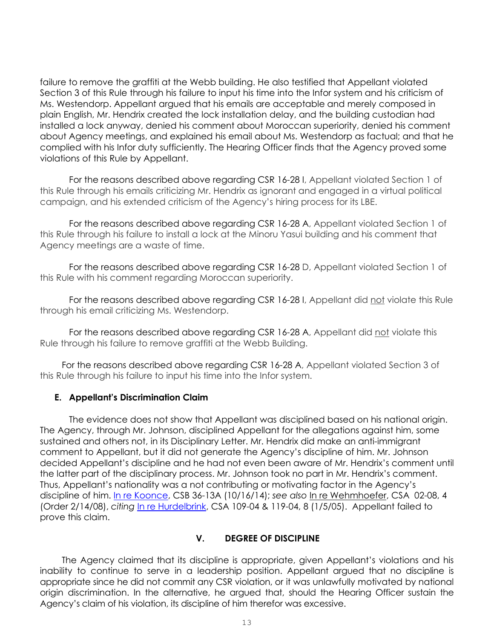failure to remove the graffiti at the Webb building. He also testified that Appellant violated Section 3 of this Rule through his failure to input his time into the Infor system and his criticism of Ms. Westendorp. Appellant argued that his emails are acceptable and merely composed in plain English, Mr. Hendrix created the lock installation delay, and the building custodian had installed a lock anyway, denied his comment about Moroccan superiority, denied his comment about Agency meetings, and explained his email about Ms. Westendorp as factual; and that he complied with his Infor duty sufficiently. The Hearing Officer finds that the Agency proved some violations of this Rule by Appellant.

For the reasons described above regarding CSR 16-28 I, Appellant violated Section 1 of this Rule through his emails criticizing Mr. Hendrix as ignorant and engaged in a virtual political campaign, and his extended criticism of the Agency's hiring process for its LBE.

For the reasons described above regarding CSR 16-28 A, Appellant violated Section 1 of this Rule through his failure to install a lock at the Minoru Yasui building and his comment that Agency meetings are a waste of time.

For the reasons described above regarding CSR 16-28 D, Appellant violated Section 1 of this Rule with his comment regarding Moroccan superiority.

For the reasons described above regarding CSR 16-28 I, Appellant did not violate this Rule through his email criticizing Ms. Westendorp.

For the reasons described above regarding CSR 16-28 A, Appellant did not violate this Rule through his failure to remove graffiti at the Webb Building.

For the reasons described above regarding CSR 16-28 A, Appellant violated Section 3 of this Rule through his failure to input his time into the Infor system.

## **E. Appellant's Discrimination Claim**

The evidence does not show that Appellant was disciplined based on his national origin. The Agency, through Mr. Johnson, disciplined Appellant for the allegations against him, some sustained and others not, in its Disciplinary Letter. Mr. Hendrix did make an anti-immigrant comment to Appellant, but it did not generate the Agency's discipline of him. Mr. Johnson decided Appellant's discipline and he had not even been aware of Mr. Hendrix's comment until the latter part of the disciplinary process. Mr. Johnson took no part in Mr. Hendrix's comment. Thus, Appellant's nationality was a not contributing or motivating factor in the Agency's discipline of him. [In re Koonce,](https://www.denvergov.org/content/dam/denvergov/Portals/hearings_office/documents/Hearings/Koonce_Phazaria_36-13_Career_Service_Board_Decision_and_Order%20101614.pdf) CSB 36-13A (10/16/14); *see also* In re Wehmhoefer, CSA 02-08, 4 (Order 2/14/08), *citing* [In re Hurdelbrink,](https://www.denvergov.org/content/dam/denvergov/Portals/hearings_office/documents/Hearings/Hurdelbrink_Emit_109-04_119-04.pdf) CSA 109-04 & 119-04, 8 (1/5/05). Appellant failed to prove this claim.

### **V. DEGREE OF DISCIPLINE**

The Agency claimed that its discipline is appropriate, given Appellant's violations and his inability to continue to serve in a leadership position. Appellant argued that no discipline is appropriate since he did not commit any CSR violation, or it was unlawfully motivated by national origin discrimination. In the alternative, he argued that, should the Hearing Officer sustain the Agency's claim of his violation, its discipline of him therefor was excessive.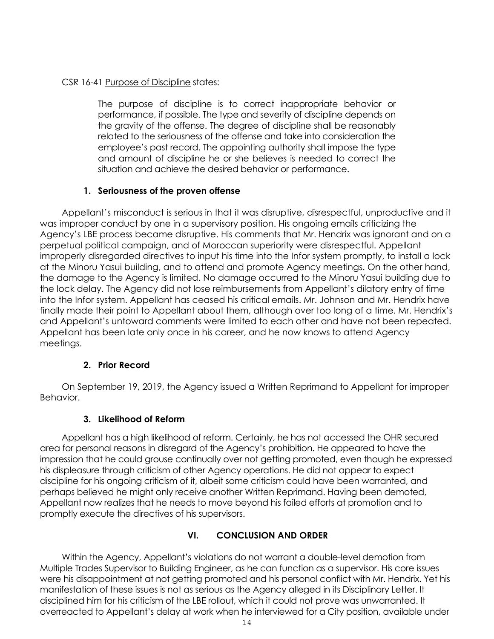### CSR 16-41 Purpose of Discipline states:

The purpose of discipline is to correct inappropriate behavior or performance, if possible. The type and severity of discipline depends on the gravity of the offense. The degree of discipline shall be reasonably related to the seriousness of the offense and take into consideration the employee's past record. The appointing authority shall impose the type and amount of discipline he or she believes is needed to correct the situation and achieve the desired behavior or performance.

## **1. Seriousness of the proven offense**

Appellant's misconduct is serious in that it was disruptive, disrespectful, unproductive and it was improper conduct by one in a supervisory position. His ongoing emails criticizing the Agency's LBE process became disruptive. His comments that Mr. Hendrix was ignorant and on a perpetual political campaign, and of Moroccan superiority were disrespectful. Appellant improperly disregarded directives to input his time into the Infor system promptly, to install a lock at the Minoru Yasui building, and to attend and promote Agency meetings. On the other hand, the damage to the Agency is limited. No damage occurred to the Minoru Yasui building due to the lock delay. The Agency did not lose reimbursements from Appellant's dilatory entry of time into the Infor system. Appellant has ceased his critical emails. Mr. Johnson and Mr. Hendrix have finally made their point to Appellant about them, although over too long of a time. Mr. Hendrix's and Appellant's untoward comments were limited to each other and have not been repeated. Appellant has been late only once in his career, and he now knows to attend Agency meetings.

## **2. Prior Record**

On September 19, 2019, the Agency issued a Written Reprimand to Appellant for improper Behavior.

# **3. Likelihood of Reform**

Appellant has a high likelihood of reform. Certainly, he has not accessed the OHR secured area for personal reasons in disregard of the Agency's prohibition. He appeared to have the impression that he could grouse continually over not getting promoted, even though he expressed his displeasure through criticism of other Agency operations. He did not appear to expect discipline for his ongoing criticism of it, albeit some criticism could have been warranted, and perhaps believed he might only receive another Written Reprimand. Having been demoted, Appellant now realizes that he needs to move beyond his failed efforts at promotion and to promptly execute the directives of his supervisors.

# **VI. CONCLUSION AND ORDER**

Within the Agency, Appellant's violations do not warrant a double-level demotion from Multiple Trades Supervisor to Building Engineer, as he can function as a supervisor. His core issues were his disappointment at not getting promoted and his personal conflict with Mr. Hendrix. Yet his manifestation of these issues is not as serious as the Agency alleged in its Disciplinary Letter. It disciplined him for his criticism of the LBE rollout, which it could not prove was unwarranted. It overreacted to Appellant's delay at work when he interviewed for a City position, available under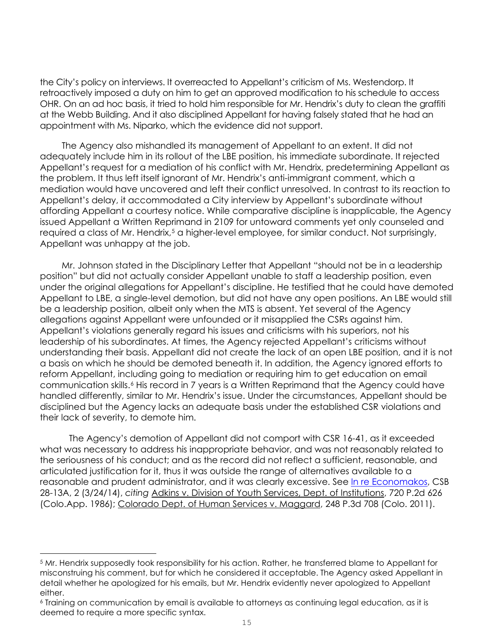the City's policy on interviews. It overreacted to Appellant's criticism of Ms. Westendorp. It retroactively imposed a duty on him to get an approved modification to his schedule to access OHR. On an ad hoc basis, it tried to hold him responsible for Mr. Hendrix's duty to clean the graffiti at the Webb Building. And it also disciplined Appellant for having falsely stated that he had an appointment with Ms. Niparko, which the evidence did not support.

The Agency also mishandled its management of Appellant to an extent. It did not adequately include him in its rollout of the LBE position, his immediate subordinate. It rejected Appellant's request for a mediation of his conflict with Mr. Hendrix, predetermining Appellant as the problem. It thus left itself ignorant of Mr. Hendrix's anti-immigrant comment, which a mediation would have uncovered and left their conflict unresolved. In contrast to its reaction to Appellant's delay, it accommodated a City interview by Appellant's subordinate without affording Appellant a courtesy notice. While comparative discipline is inapplicable, the Agency issued Appellant a Written Reprimand in 2109 for untoward comments yet only counseled and required a class of Mr. Hendrix,<sup>[5](#page-14-0)</sup> a higher-level employee, for similar conduct. Not surprisingly, Appellant was unhappy at the job.

Mr. Johnson stated in the Disciplinary Letter that Appellant "should not be in a leadership position" but did not actually consider Appellant unable to staff a leadership position, even under the original allegations for Appellant's discipline. He testified that he could have demoted Appellant to LBE, a single-level demotion, but did not have any open positions. An LBE would still be a leadership position, albeit only when the MTS is absent. Yet several of the Agency allegations against Appellant were unfounded or it misapplied the CSRs against him. Appellant's violations generally regard his issues and criticisms with his superiors, not his leadership of his subordinates. At times, the Agency rejected Appellant's criticisms without understanding their basis. Appellant did not create the lack of an open LBE position, and it is not a basis on which he should be demoted beneath it. In addition, the Agency ignored efforts to reform Appellant, including going to mediation or requiring him to get education on email communication skills.[6](#page-14-1) His record in 7 years is a Written Reprimand that the Agency could have handled differently, similar to Mr. Hendrix's issue. Under the circumstances, Appellant should be disciplined but the Agency lacks an adequate basis under the established CSR violations and their lack of severity, to demote him.

The Agency's demotion of Appellant did not comport with CSR 16-41, as it exceeded what was necessary to address his inappropriate behavior, and was not reasonably related to the seriousness of his conduct; and as the record did not reflect a sufficient, reasonable, and articulated justification for it, thus it was outside the range of alternatives available to a reasonable and prudent administrator, and it was clearly excessive. See [In re Economakos,](https://www.denvergov.org/content/dam/denvergov/Portals/hearings_office/documents/Hearings/Economakos_Steve_28-13_CSB_Decision_and_Order.pdf) CSB 28-13A, 2 (3/24/14), *citing* Adkins v. Division of Youth Services, Dept. of Institutions, 720 P.2d 626 (Colo.App. 1986); Colorado Dept. of Human Services v. Maggard, 248 P.3d 708 (Colo. 2011).

<span id="page-14-0"></span><sup>5</sup> Mr. Hendrix supposedly took responsibility for his action. Rather, he transferred blame to Appellant for misconstruing his comment, but for which he considered it acceptable. The Agency asked Appellant in detail whether he apologized for his emails, but Mr. Hendrix evidently never apologized to Appellant either.

<span id="page-14-1"></span><sup>6</sup> Training on communication by email is available to attorneys as continuing legal education, as it is deemed to require a more specific syntax.